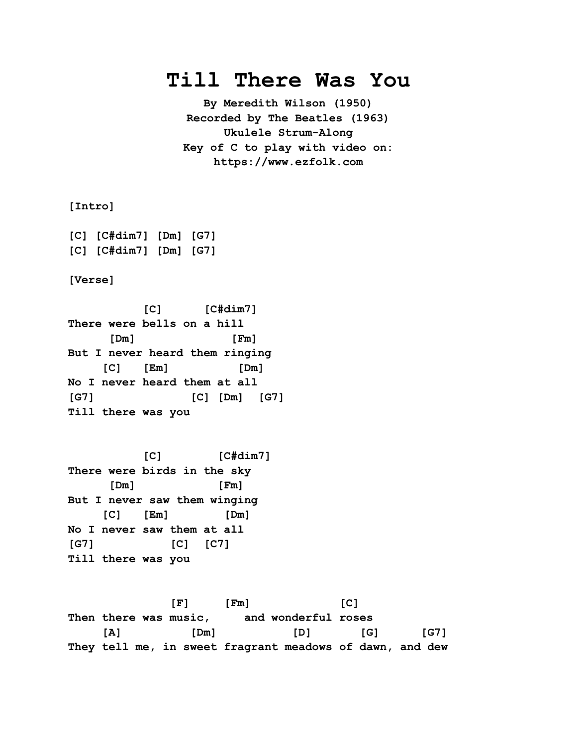## **Till There Was You**

**By Meredith Wilson (1950) Recorded by The Beatles (1963) Ukulele Strum-Along Key of C to play with video on: https://www.ezfolk.com**

**[Intro]**

**[C] [C#dim7] [Dm] [G7] [C] [C#dim7] [Dm] [G7]**

**[Verse]**

 **[C] [C#dim7] There were bells on a hill [Dm] [Fm] But I never heard them ringing [C] [Em] [Dm] No I never heard them at all [G7] [C] [Dm] [G7] Till there was you**

 **[C] [C#dim7] There were birds in the sky [Dm] [Fm] But I never saw them winging [C] [Em] [Dm] No I never saw them at all [G7] [C] [C7] Till there was you**

 **[F] [Fm] [C] Then there was music, and wonderful roses [A] [Dm] [D] [G] [G7] They tell me, in sweet fragrant meadows of dawn, and dew**